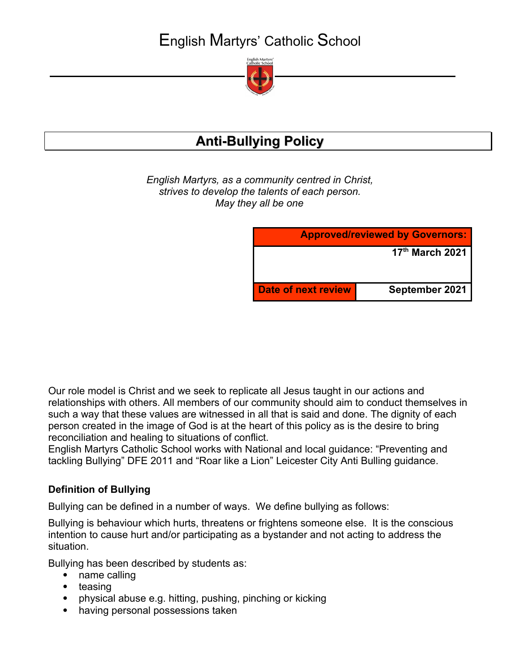English Martyrs' Catholic School



# **Anti-Bullying Policy**

*English Martyrs, as a community centred in Christ, strives to develop the talents of each person. May they all be one*

| <b>Approved/reviewed by Governors:</b> |                 |
|----------------------------------------|-----------------|
|                                        | 17th March 2021 |
|                                        |                 |
| <b>Date of next review</b>             | September 2021  |

Our role model is Christ and we seek to replicate all Jesus taught in our actions and relationships with others. All members of our community should aim to conduct themselves in such a way that these values are witnessed in all that is said and done. The dignity of each person created in the image of God is at the heart of this policy as is the desire to bring reconciliation and healing to situations of conflict.

English Martyrs Catholic School works with National and local guidance: "Preventing and tackling Bullying" DFE 2011 and "Roar like a Lion" Leicester City Anti Bulling guidance.

#### **Definition of Bullying**

Bullying can be defined in a number of ways. We define bullying as follows:

Bullying is behaviour which hurts, threatens or frightens someone else. It is the conscious intention to cause hurt and/or participating as a bystander and not acting to address the situation.

Bullying has been described by students as:

- name calling
- teasing
- physical abuse e.g. hitting, pushing, pinching or kicking
- having personal possessions taken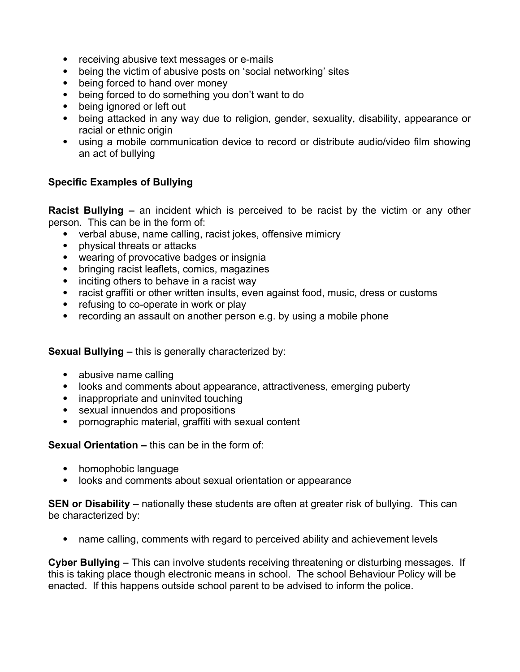- receiving abusive text messages or e-mails
- being the victim of abusive posts on 'social networking' sites
- being forced to hand over money
- being forced to do something you don't want to do
- being ignored or left out
- being attacked in any way due to religion, gender, sexuality, disability, appearance or racial or ethnic origin
- using a mobile communication device to record or distribute audio/video film showing an act of bullying

#### **Specific Examples of Bullying**

**Racist Bullying –** an incident which is perceived to be racist by the victim or any other person. This can be in the form of:

- verbal abuse, name calling, racist jokes, offensive mimicry
- physical threats or attacks
- wearing of provocative badges or insignia
- bringing racist leaflets, comics, magazines
- inciting others to behave in a racist way
- racist graffiti or other written insults, even against food, music, dress or customs
- refusing to co-operate in work or play
- recording an assault on another person e.g. by using a mobile phone

**Sexual Bullying –** this is generally characterized by:

- abusive name calling
- looks and comments about appearance, attractiveness, emerging puberty
- inappropriate and uninvited touching
- sexual innuendos and propositions
- pornographic material, graffiti with sexual content

**Sexual Orientation –** this can be in the form of:

- homophobic language
- looks and comments about sexual orientation or appearance

**SEN or Disability** – nationally these students are often at greater risk of bullying. This can be characterized by:

• name calling, comments with regard to perceived ability and achievement levels

**Cyber Bullying –** This can involve students receiving threatening or disturbing messages. If this is taking place though electronic means in school. The school Behaviour Policy will be enacted. If this happens outside school parent to be advised to inform the police.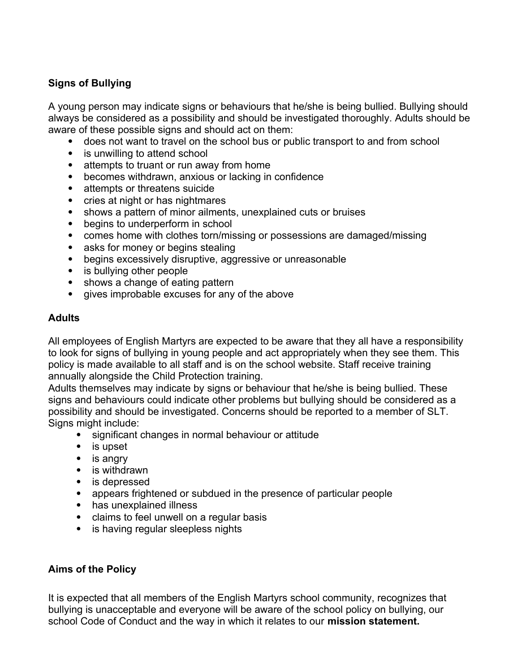### **Signs of Bullying**

A young person may indicate signs or behaviours that he/she is being bullied. Bullying should always be considered as a possibility and should be investigated thoroughly. Adults should be aware of these possible signs and should act on them:

- does not want to travel on the school bus or public transport to and from school
- is unwilling to attend school
- attempts to truant or run away from home
- becomes withdrawn, anxious or lacking in confidence
- attempts or threatens suicide
- cries at night or has nightmares
- shows a pattern of minor ailments, unexplained cuts or bruises
- begins to underperform in school
- comes home with clothes torn/missing or possessions are damaged/missing
- asks for money or begins stealing
- begins excessively disruptive, aggressive or unreasonable
- is bullying other people
- shows a change of eating pattern
- gives improbable excuses for any of the above

#### **Adults**

All employees of English Martyrs are expected to be aware that they all have a responsibility to look for signs of bullying in young people and act appropriately when they see them. This policy is made available to all staff and is on the school website. Staff receive training annually alongside the Child Protection training.

Adults themselves may indicate by signs or behaviour that he/she is being bullied. These signs and behaviours could indicate other problems but bullying should be considered as a possibility and should be investigated. Concerns should be reported to a member of SLT. Signs might include:

- significant changes in normal behaviour or attitude
- is upset
- is angry
- is withdrawn
- is depressed
- appears frightened or subdued in the presence of particular people
- has unexplained illness
- claims to feel unwell on a regular basis
- is having regular sleepless nights

#### **Aims of the Policy**

It is expected that all members of the English Martyrs school community, recognizes that bullying is unacceptable and everyone will be aware of the school policy on bullying, our school Code of Conduct and the way in which it relates to our **mission statement.**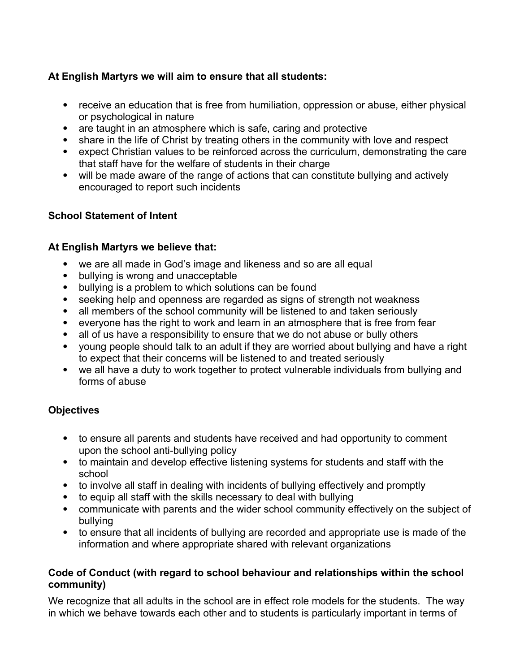### **At English Martyrs we will aim to ensure that all students:**

- receive an education that is free from humiliation, oppression or abuse, either physical or psychological in nature
- are taught in an atmosphere which is safe, caring and protective
- share in the life of Christ by treating others in the community with love and respect
- expect Christian values to be reinforced across the curriculum, demonstrating the care that staff have for the welfare of students in their charge
- will be made aware of the range of actions that can constitute bullying and actively encouraged to report such incidents

#### **School Statement of Intent**

#### **At English Martyrs we believe that:**

- we are all made in God's image and likeness and so are all equal
- bullying is wrong and unacceptable
- bullying is a problem to which solutions can be found
- seeking help and openness are regarded as signs of strength not weakness
- all members of the school community will be listened to and taken seriously
- everyone has the right to work and learn in an atmosphere that is free from fear
- all of us have a responsibility to ensure that we do not abuse or bully others
- voung people should talk to an adult if they are worried about bullying and have a right to expect that their concerns will be listened to and treated seriously
- we all have a duty to work together to protect vulnerable individuals from bullying and forms of abuse

#### **Objectives**

- to ensure all parents and students have received and had opportunity to comment upon the school anti-bullying policy
- to maintain and develop effective listening systems for students and staff with the school
- to involve all staff in dealing with incidents of bullying effectively and promptly
- to equip all staff with the skills necessary to deal with bullying
- communicate with parents and the wider school community effectively on the subject of bullying
- to ensure that all incidents of bullying are recorded and appropriate use is made of the information and where appropriate shared with relevant organizations

#### **Code of Conduct (with regard to school behaviour and relationships within the school community)**

We recognize that all adults in the school are in effect role models for the students. The way in which we behave towards each other and to students is particularly important in terms of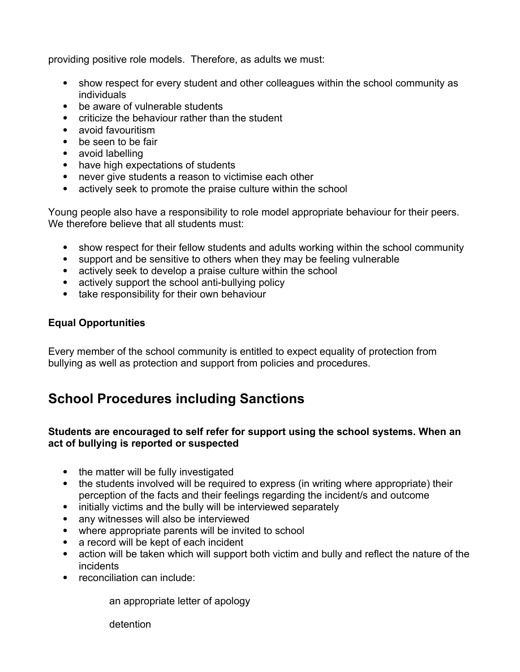providing positive role models. Therefore, as adults we must:

- show respect for every student and other colleagues within the school community as individuals
- be aware of vulnerable students
- criticize the behaviour rather than the student
- avoid favouritism
- be seen to be fair
- avoid labelling
- have high expectations of students
- never give students a reason to victimise each other
- actively seek to promote the praise culture within the school

Young people also have a responsibility to role model appropriate behaviour for their peers. We therefore believe that all students must:

- show respect for their fellow students and adults working within the school community
- support and be sensitive to others when they may be feeling vulnerable
- actively seek to develop a praise culture within the school
- actively support the school anti-bullying policy
- take responsibility for their own behaviour

#### **Equal Opportunities**

Every member of the school community is entitled to expect equality of protection from bullying as well as protection and support from policies and procedures.

## **School Procedures including Sanctions**

#### **Students are encouraged to self refer for support using the school systems. When an act of bullying is reported or suspected**

- the matter will be fully investigated
- the students involved will be required to express (in writing where appropriate) their perception of the facts and their feelings regarding the incident/s and outcome
- initially victims and the bully will be interviewed separately
- any witnesses will also be interviewed
- where appropriate parents will be invited to school
- a record will be kept of each incident
- action will be taken which will support both victim and bully and reflect the nature of the incidents
- reconciliation can include:

an appropriate letter of apology

detention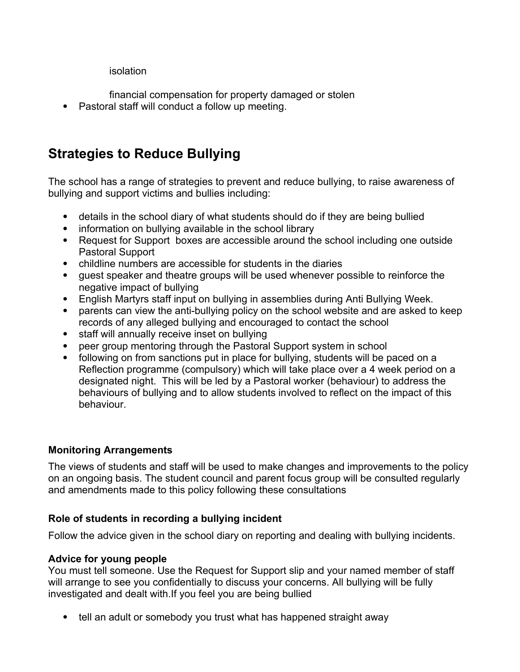#### isolation

- financial compensation for property damaged or stolen
- Pastoral staff will conduct a follow up meeting.

# **Strategies to Reduce Bullying**

The school has a range of strategies to prevent and reduce bullying, to raise awareness of bullying and support victims and bullies including:

- details in the school diary of what students should do if they are being bullied
- information on bullying available in the school library
- Request for Support boxes are accessible around the school including one outside Pastoral Support
- childline numbers are accessible for students in the diaries
- guest speaker and theatre groups will be used whenever possible to reinforce the negative impact of bullying
- English Martyrs staff input on bullying in assemblies during Anti Bullying Week.
- parents can view the anti-bullying policy on the school website and are asked to keep records of any alleged bullying and encouraged to contact the school
- staff will annually receive inset on bullying
- peer group mentoring through the Pastoral Support system in school
- following on from sanctions put in place for bullying, students will be paced on a Reflection programme (compulsory) which will take place over a 4 week period on a designated night. This will be led by a Pastoral worker (behaviour) to address the behaviours of bullying and to allow students involved to reflect on the impact of this behaviour.

## **Monitoring Arrangements**

The views of students and staff will be used to make changes and improvements to the policy on an ongoing basis. The student council and parent focus group will be consulted regularly and amendments made to this policy following these consultations

## **Role of students in recording a bullying incident**

Follow the advice given in the school diary on reporting and dealing with bullying incidents.

## **Advice for young people**

You must tell someone. Use the Request for Support slip and your named member of staff will arrange to see you confidentially to discuss your concerns. All bullying will be fully investigated and dealt with.If you feel you are being bullied

• tell an adult or somebody you trust what has happened straight away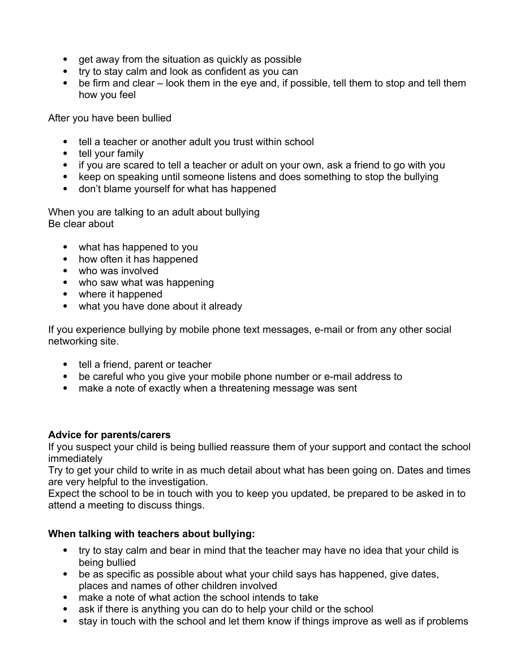- get away from the situation as quickly as possible
- try to stay calm and look as confident as you can
- be firm and clear look them in the eye and, if possible, tell them to stop and tell them how you feel

After you have been bullied

- tell a teacher or another adult you trust within school
- tell your family
- if you are scared to tell a teacher or adult on your own, ask a friend to go with you
- keep on speaking until someone listens and does something to stop the bullying
- don't blame yourself for what has happened

When you are talking to an adult about bullying Be clear about

- what has happened to you
- how often it has happened
- who was involved
- who saw what was happening
- where it happened
- what you have done about it already

If you experience bullying by mobile phone text messages, e-mail or from any other social networking site.

- tell a friend, parent or teacher
- be careful who you give your mobile phone number or e-mail address to
- make a note of exactly when a threatening message was sent

#### **Advice for parents/carers**

If you suspect your child is being bullied reassure them of your support and contact the school immediately

Try to get your child to write in as much detail about what has been going on. Dates and times are very helpful to the investigation.

Expect the school to be in touch with you to keep you updated, be prepared to be asked in to attend a meeting to discuss things.

## **When talking with teachers about bullying:**

- try to stay calm and bear in mind that the teacher may have no idea that your child is being bullied
- be as specific as possible about what your child says has happened, give dates, places and names of other children involved
- make a note of what action the school intends to take
- ask if there is anything you can do to help your child or the school
- stay in touch with the school and let them know if things improve as well as if problems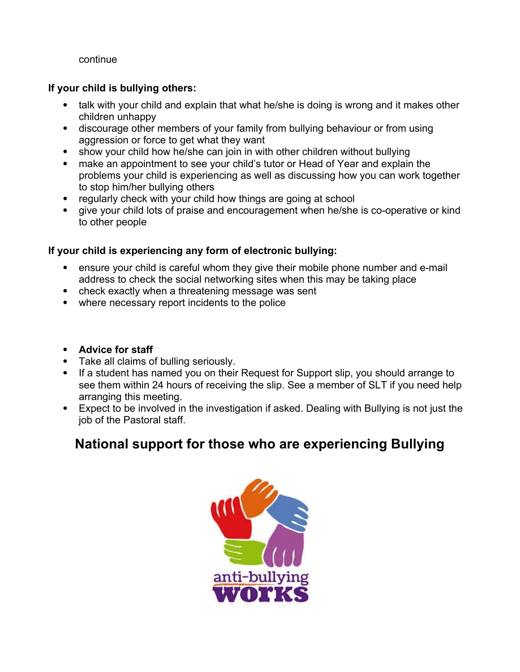continue

### **If your child is bullying others:**

- talk with your child and explain that what he/she is doing is wrong and it makes other children unhappy
- discourage other members of your family from bullying behaviour or from using aggression or force to get what they want
- show your child how he/she can join in with other children without bullying
- make an appointment to see your child's tutor or Head of Year and explain the problems your child is experiencing as well as discussing how you can work together to stop him/her bullying others
- regularly check with your child how things are going at school
- aive your child lots of praise and encouragement when he/she is co-operative or kind to other people

## **If your child is experiencing any form of electronic bullying:**

- ensure your child is careful whom they give their mobile phone number and e-mail address to check the social networking sites when this may be taking place
- check exactly when a threatening message was sent
- where necessary report incidents to the police
- **Advice for staff**
- Take all claims of bulling seriously.
- If a student has named you on their Request for Support slip, you should arrange to see them within 24 hours of receiving the slip. See a member of SLT if you need help arranging this meeting.
- Expect to be involved in the investigation if asked. Dealing with Bullying is not just the job of the Pastoral staff.

## **National support for those who are experiencing Bullying**

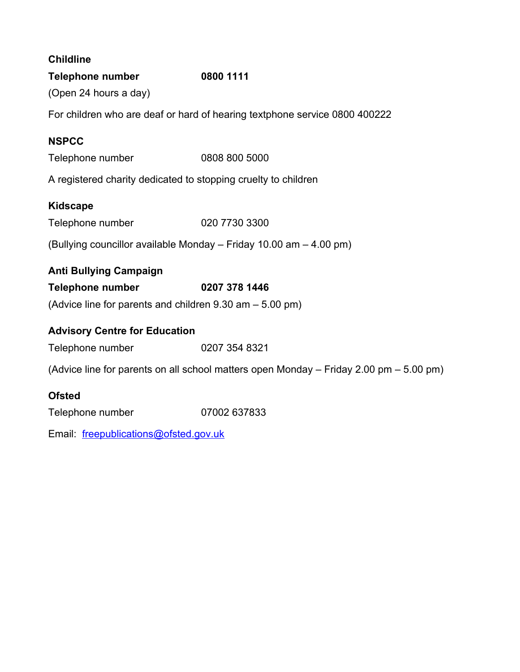| <b>Childline</b>                                                                       |               |  |
|----------------------------------------------------------------------------------------|---------------|--|
| <b>Telephone number</b>                                                                | 0800 1111     |  |
| (Open 24 hours a day)                                                                  |               |  |
| For children who are deaf or hard of hearing textphone service 0800 400222             |               |  |
| <b>NSPCC</b>                                                                           |               |  |
| Telephone number                                                                       | 0808 800 5000 |  |
| A registered charity dedicated to stopping cruelty to children                         |               |  |
| <b>Kidscape</b>                                                                        |               |  |
| Telephone number                                                                       | 020 7730 3300 |  |
| (Bullying councillor available Monday – Friday 10.00 am – 4.00 pm)                     |               |  |
| <b>Anti Bullying Campaign</b>                                                          |               |  |
| <b>Telephone number</b>                                                                | 0207 378 1446 |  |
| (Advice line for parents and children 9.30 am - 5.00 pm)                               |               |  |
| <b>Advisory Centre for Education</b>                                                   |               |  |
| Telephone number                                                                       | 0207 354 8321 |  |
| (Advice line for parents on all school matters open Monday - Friday 2.00 pm - 5.00 pm) |               |  |
| <b>Ofsted</b>                                                                          |               |  |
| Telephone number                                                                       | 07002 637833  |  |
| Email: freepublications@ofsted.gov.uk                                                  |               |  |